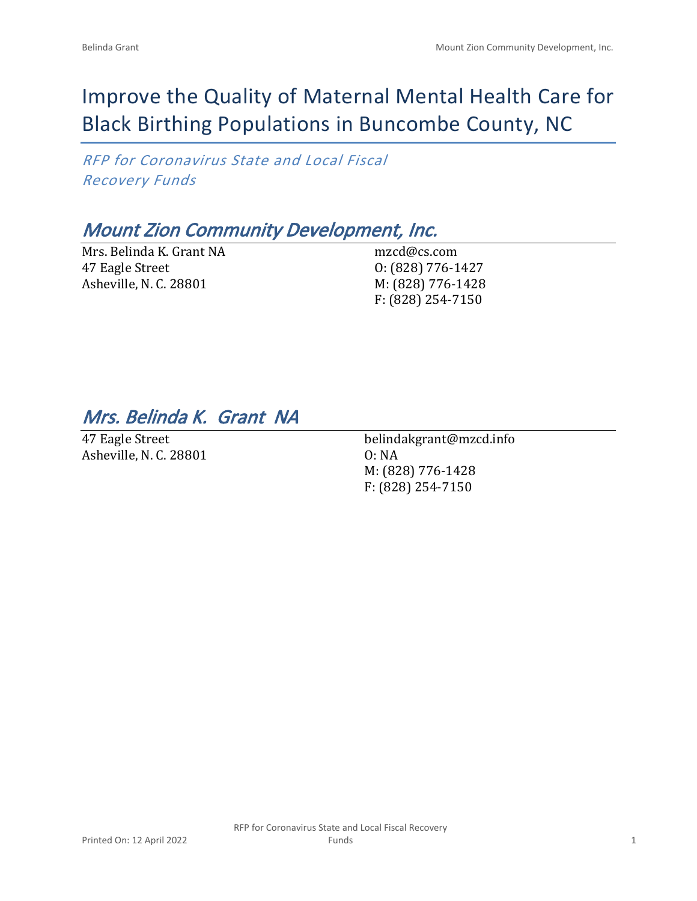# Improve the Quality of Maternal Mental Health Care for Black Birthing Populations in Buncombe County, NC

*RFP for Coronavirus State and Local Fiscal Recovery Funds*

# *Mount Zion Community Development, Inc.*

Mrs. Belinda K. Grant NA 47 Eagle Street Asheville, N. C. 28801

mzcd@cs.com O: (828) 776-1427 M: (828) 776-1428 F: (828) 254-7150

## *Mrs. Belinda K. Grant NA*

47 Eagle Street Asheville, N. C. 28801 belindakgrant@mzcd.info O: NA M: (828) 776-1428 F: (828) 254-7150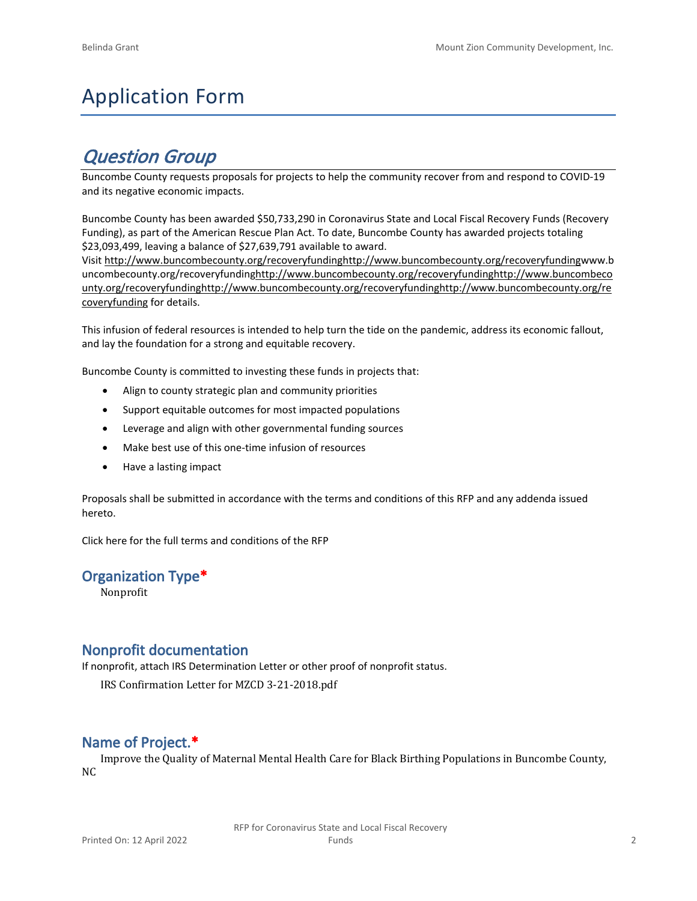# Application Form

# *Question Group*

Buncombe County requests proposals for projects to help the community recover from and respond to COVID-19 and its negative economic impacts.

Buncombe County has been awarded \$50,733,290 in Coronavirus State and Local Fiscal Recovery Funds (Recovery Funding), as part of the American Rescue Plan Act. To date, Buncombe County has awarded projects totaling \$23,093,499, leaving a balance of \$27,639,791 available to award.

Visit [http://www.buncombecounty.org/recoveryfundinghttp://www.buncombecounty.org/recoveryfundingwww.b](http://www.buncombecounty.org/recoveryfunding) [uncombecounty.org/recoveryfundinghttp://www.buncombecounty.org/recoveryfundinghttp://www.buncombeco](http://www.buncombecounty.org/recoveryfunding) [unty.org/recoveryfundinghttp://www.buncombecounty.org/recoveryfundinghttp://www.buncombecounty.org/re](http://www.buncombecounty.org/recoveryfunding) [coveryfunding](http://www.buncombecounty.org/recoveryfunding) for details.

This infusion of federal resources is intended to help turn the tide on the pandemic, address its economic fallout, and lay the foundation for a strong and equitable recovery.

Buncombe County is committed to investing these funds in projects that:

- Align to county strategic plan and community priorities
- Support equitable outcomes for most impacted populations
- Leverage and align with other governmental funding sources
- Make best use of this one-time infusion of resources
- Have a lasting impact

Proposals shall be submitted in accordance with the terms and conditions of this RFP and any addenda issued hereto.

Click [here](https://www.buncombecounty.org/common/purchasing/Buncombe%20Recovery%20Funding%20RFP%202022.pdf) for the full terms and conditions of the RFP

### **Organization Type\***

Nonprofit

### **Nonprofit documentation**

If nonprofit, attach IRS Determination Letter or other proof of nonprofit status.

IRS Confirmation Letter for MZCD 3-21-2018.pdf

### **Name of Project.\***

Improve the Quality of Maternal Mental Health Care for Black Birthing Populations in Buncombe County, NC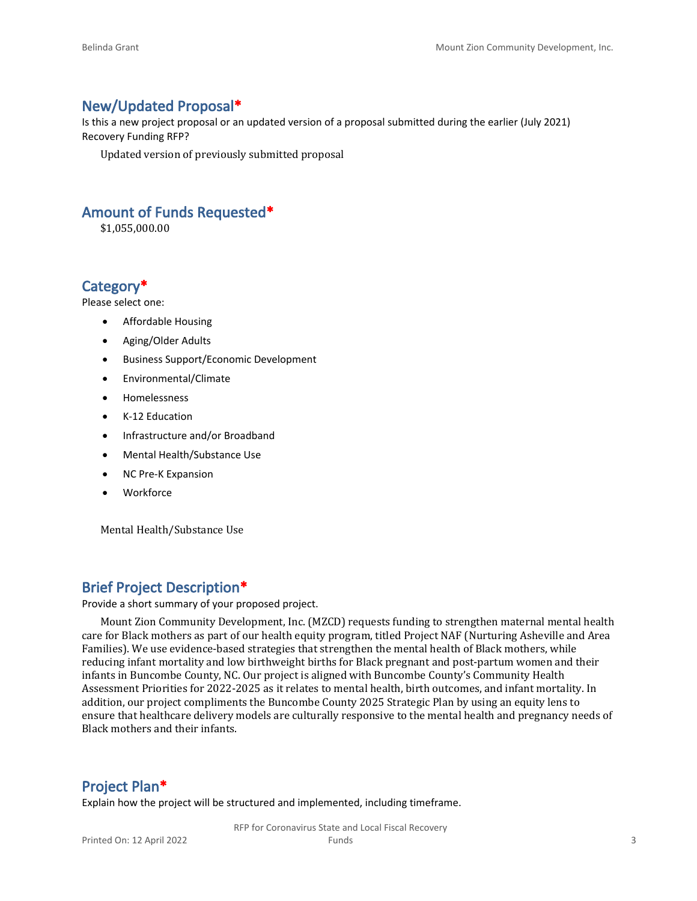#### **New/Updated Proposal\***

Is this a new project proposal or an updated version of a proposal submitted during the earlier (July 2021) Recovery Funding RFP?

Updated version of previously submitted proposal

#### **Amount of Funds Requested\***

\$1,055,000.00

#### **Category\***

Please select one:

- Affordable Housing
- Aging/Older Adults
- Business Support/Economic Development
- Environmental/Climate
- Homelessness
- K-12 Education
- Infrastructure and/or Broadband
- Mental Health/Substance Use
- NC Pre-K Expansion
- **Workforce**

Mental Health/Substance Use

### **Brief Project Description\***

Provide a short summary of your proposed project.

Mount Zion Community Development, Inc. (MZCD) requests funding to strengthen maternal mental health care for Black mothers as part of our health equity program, titled Project NAF (Nurturing Asheville and Area Families). We use evidence-based strategies that strengthen the mental health of Black mothers, while reducing infant mortality and low birthweight births for Black pregnant and post-partum women and their infants in Buncombe County, NC. Our project is aligned with Buncombe County's Community Health Assessment Priorities for 2022-2025 as it relates to mental health, birth outcomes, and infant mortality. In addition, our project compliments the Buncombe County 2025 Strategic Plan by using an equity lens to ensure that healthcare delivery models are culturally responsive to the mental health and pregnancy needs of Black mothers and their infants.

### **Project Plan\***

Explain how the project will be structured and implemented, including timeframe.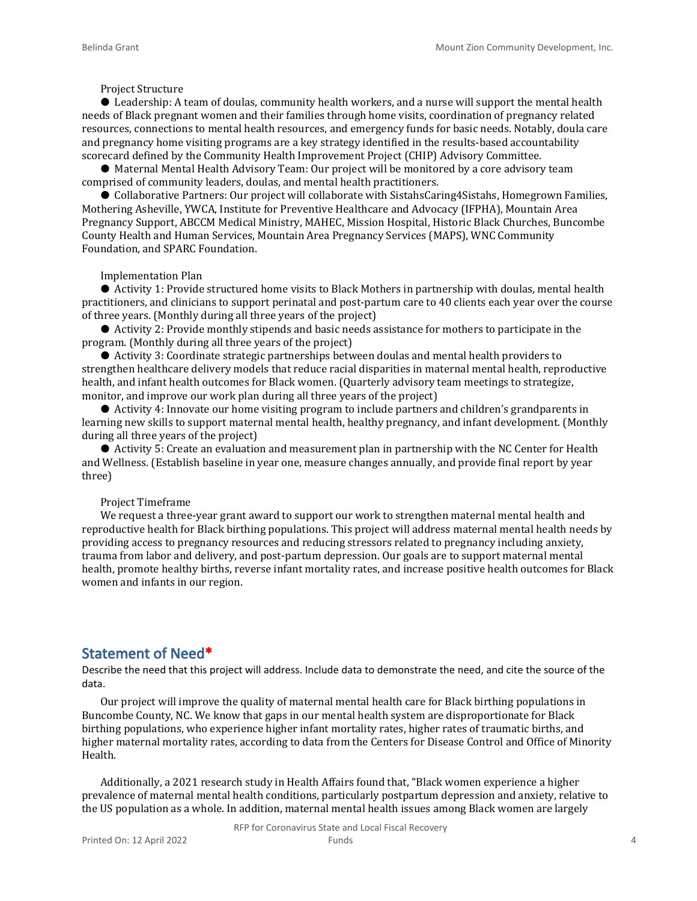#### Project Structure

● Leadership: A team of doulas, community health workers, and a nurse will support the mental health needs of Black pregnant women and their families through home visits, coordination of pregnancy related resources, connections to mental health resources, and emergency funds for basic needs. Notably, doula care and pregnancy home visiting programs are a key strategy identified in the results-based accountability scorecard defined by the Community Health Improvement Project (CHIP) Advisory Committee.

● Maternal Mental Health Advisory Team: Our project will be monitored by a core advisory team comprised of community leaders, doulas, and mental health practitioners.

● Collaborative Partners: Our project will collaborate with SistahsCaring4Sistahs, Homegrown Families, Mothering Asheville, YWCA, Institute for Preventive Healthcare and Advocacy (IFPHA), Mountain Area Pregnancy Support, ABCCM Medical Ministry, MAHEC, Mission Hospital, Historic Black Churches, Buncombe County Health and Human Services, Mountain Area Pregnancy Services (MAPS), WNC Community Foundation, and SPARC Foundation.

#### Implementation Plan

● Activity 1: Provide structured home visits to Black Mothers in partnership with doulas, mental health practitioners, and clinicians to support perinatal and post-partum care to 40 clients each year over the course of three years. (Monthly during all three years of the project)

● Activity 2: Provide monthly stipends and basic needs assistance for mothers to participate in the program. (Monthly during all three years of the project)

● Activity 3: Coordinate strategic partnerships between doulas and mental health providers to strengthen healthcare delivery models that reduce racial disparities in maternal mental health, reproductive health, and infant health outcomes for Black women. (Quarterly advisory team meetings to strategize, monitor, and improve our work plan during all three years of the project)

● Activity 4: Innovate our home visiting program to include partners and children's grandparents in learning new skills to support maternal mental health, healthy pregnancy, and infant development. (Monthly during all three years of the project)

● Activity 5: Create an evaluation and measurement plan in partnership with the NC Center for Health and Wellness. (Establish baseline in year one, measure changes annually, and provide final report by year three)

#### Project Timeframe

We request a three-year grant award to support our work to strengthen maternal mental health and reproductive health for Black birthing populations. This project will address maternal mental health needs by providing access to pregnancy resources and reducing stressors related to pregnancy including anxiety, trauma from labor and delivery, and post-partum depression. Our goals are to support maternal mental health, promote healthy births, reverse infant mortality rates, and increase positive health outcomes for Black women and infants in our region.

#### **Statement of Need\***

Describe the need that this project will address. Include data to demonstrate the need, and cite the source of the data.

Our project will improve the quality of maternal mental health care for Black birthing populations in Buncombe County, NC. We know that gaps in our mental health system are disproportionate for Black birthing populations, who experience higher infant mortality rates, higher rates of traumatic births, and higher maternal mortality rates, according to data from the Centers for Disease Control and Office of Minority Health.

Additionally, a 2021 research study in Health Affairs found that, "Black women experience a higher prevalence of maternal mental health conditions, particularly postpartum depression and anxiety, relative to the US population as a whole. In addition, maternal mental health issues among Black women are largely

RFP for Coronavirus State and Local Fiscal Recovery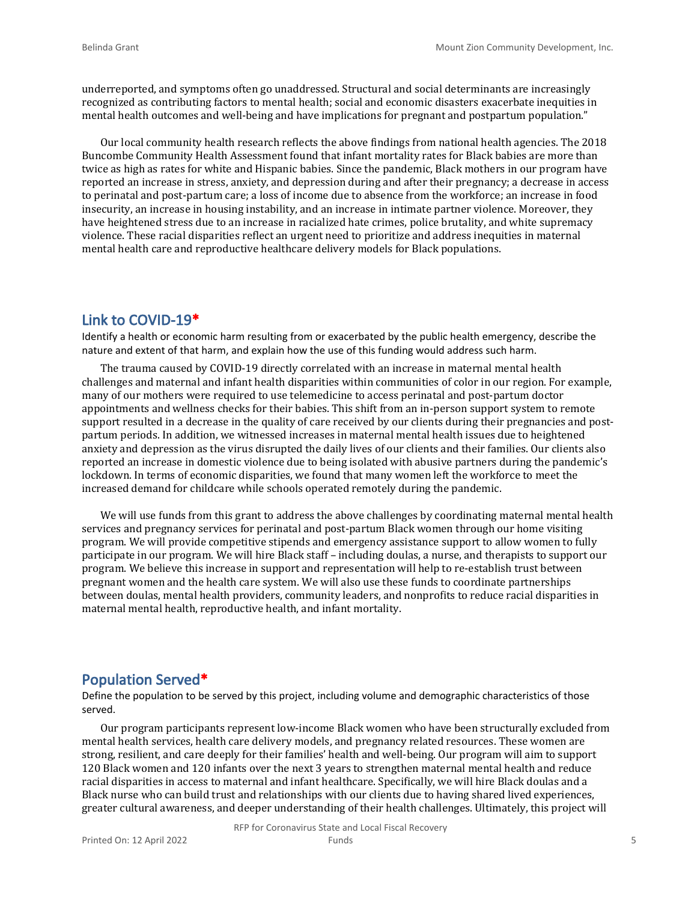underreported, and symptoms often go unaddressed. Structural and social determinants are increasingly recognized as contributing factors to mental health; social and economic disasters exacerbate inequities in mental health outcomes and well-being and have implications for pregnant and postpartum population."

Our local community health research reflects the above findings from national health agencies. The 2018 Buncombe Community Health Assessment found that infant mortality rates for Black babies are more than twice as high as rates for white and Hispanic babies. Since the pandemic, Black mothers in our program have reported an increase in stress, anxiety, and depression during and after their pregnancy; a decrease in access to perinatal and post-partum care; a loss of income due to absence from the workforce; an increase in food insecurity, an increase in housing instability, and an increase in intimate partner violence. Moreover, they have heightened stress due to an increase in racialized hate crimes, police brutality, and white supremacy violence. These racial disparities reflect an urgent need to prioritize and address inequities in maternal mental health care and reproductive healthcare delivery models for Black populations.

#### **Link to COVID-19\***

Identify a health or economic harm resulting from or exacerbated by the public health emergency, describe the nature and extent of that harm, and explain how the use of this funding would address such harm.

The trauma caused by COVID-19 directly correlated with an increase in maternal mental health challenges and maternal and infant health disparities within communities of color in our region. For example, many of our mothers were required to use telemedicine to access perinatal and post-partum doctor appointments and wellness checks for their babies. This shift from an in-person support system to remote support resulted in a decrease in the quality of care received by our clients during their pregnancies and postpartum periods. In addition, we witnessed increases in maternal mental health issues due to heightened anxiety and depression as the virus disrupted the daily lives of our clients and their families. Our clients also reported an increase in domestic violence due to being isolated with abusive partners during the pandemic's lockdown. In terms of economic disparities, we found that many women left the workforce to meet the increased demand for childcare while schools operated remotely during the pandemic.

We will use funds from this grant to address the above challenges by coordinating maternal mental health services and pregnancy services for perinatal and post-partum Black women through our home visiting program. We will provide competitive stipends and emergency assistance support to allow women to fully participate in our program. We will hire Black staff – including doulas, a nurse, and therapists to support our program. We believe this increase in support and representation will help to re-establish trust between pregnant women and the health care system. We will also use these funds to coordinate partnerships between doulas, mental health providers, community leaders, and nonprofits to reduce racial disparities in maternal mental health, reproductive health, and infant mortality.

#### **Population Served\***

Define the population to be served by this project, including volume and demographic characteristics of those served.

Our program participants represent low-income Black women who have been structurally excluded from mental health services, health care delivery models, and pregnancy related resources. These women are strong, resilient, and care deeply for their families' health and well-being. Our program will aim to support 120 Black women and 120 infants over the next 3 years to strengthen maternal mental health and reduce racial disparities in access to maternal and infant healthcare. Specifically, we will hire Black doulas and a Black nurse who can build trust and relationships with our clients due to having shared lived experiences, greater cultural awareness, and deeper understanding of their health challenges. Ultimately, this project will

RFP for Coronavirus State and Local Fiscal Recovery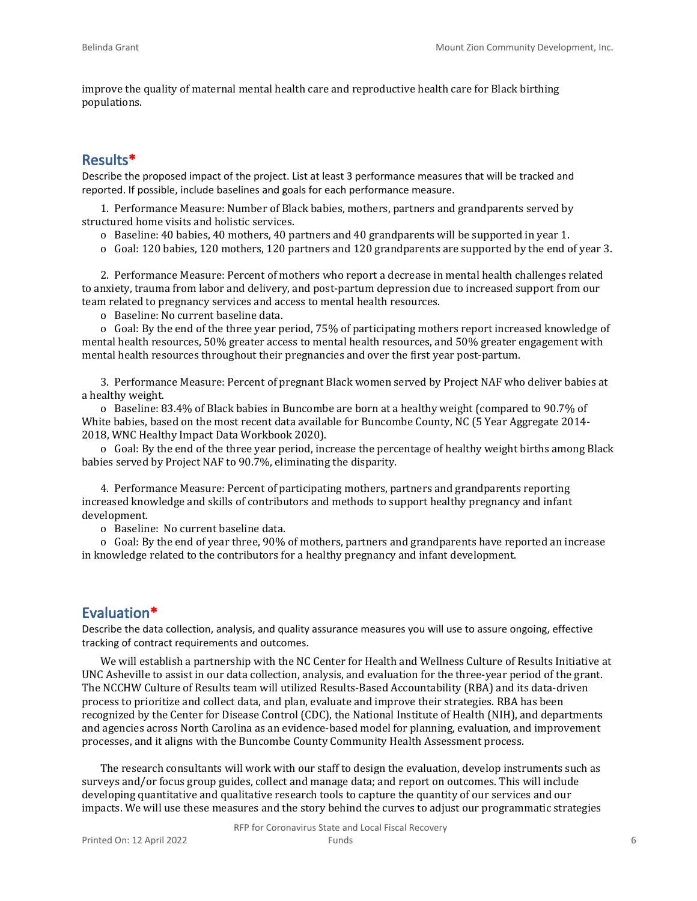improve the quality of maternal mental health care and reproductive health care for Black birthing populations.

### **Results\***

Describe the proposed impact of the project. List at least 3 performance measures that will be tracked and reported. If possible, include baselines and goals for each performance measure.

1. Performance Measure: Number of Black babies, mothers, partners and grandparents served by structured home visits and holistic services.

- o Baseline: 40 babies, 40 mothers, 40 partners and 40 grandparents will be supported in year 1.
- o Goal: 120 babies, 120 mothers, 120 partners and 120 grandparents are supported by the end of year 3.

2. Performance Measure: Percent of mothers who report a decrease in mental health challenges related to anxiety, trauma from labor and delivery, and post-partum depression due to increased support from our team related to pregnancy services and access to mental health resources.

o Baseline: No current baseline data.

o Goal: By the end of the three year period, 75% of participating mothers report increased knowledge of mental health resources, 50% greater access to mental health resources, and 50% greater engagement with mental health resources throughout their pregnancies and over the first year post-partum.

3. Performance Measure: Percent of pregnant Black women served by Project NAF who deliver babies at a healthy weight.

o Baseline: 83.4% of Black babies in Buncombe are born at a healthy weight (compared to 90.7% of White babies, based on the most recent data available for Buncombe County, NC (5 Year Aggregate 2014- 2018, WNC Healthy Impact Data Workbook 2020).

o Goal: By the end of the three year period, increase the percentage of healthy weight births among Black babies served by Project NAF to 90.7%, eliminating the disparity.

4. Performance Measure: Percent of participating mothers, partners and grandparents reporting increased knowledge and skills of contributors and methods to support healthy pregnancy and infant development.

o Baseline: No current baseline data.

o Goal: By the end of year three, 90% of mothers, partners and grandparents have reported an increase in knowledge related to the contributors for a healthy pregnancy and infant development.

#### **Evaluation\***

Describe the data collection, analysis, and quality assurance measures you will use to assure ongoing, effective tracking of contract requirements and outcomes.

We will establish a partnership with the NC Center for Health and Wellness Culture of Results Initiative at UNC Asheville to assist in our data collection, analysis, and evaluation for the three-year period of the grant. The NCCHW Culture of Results team will utilized Results-Based Accountability (RBA) and its data-driven process to prioritize and collect data, and plan, evaluate and improve their strategies. RBA has been recognized by the Center for Disease Control (CDC), the National Institute of Health (NIH), and departments and agencies across North Carolina as an evidence-based model for planning, evaluation, and improvement processes, and it aligns with the Buncombe County Community Health Assessment process.

The research consultants will work with our staff to design the evaluation, develop instruments such as surveys and/or focus group guides, collect and manage data; and report on outcomes. This will include developing quantitative and qualitative research tools to capture the quantity of our services and our impacts. We will use these measures and the story behind the curves to adjust our programmatic strategies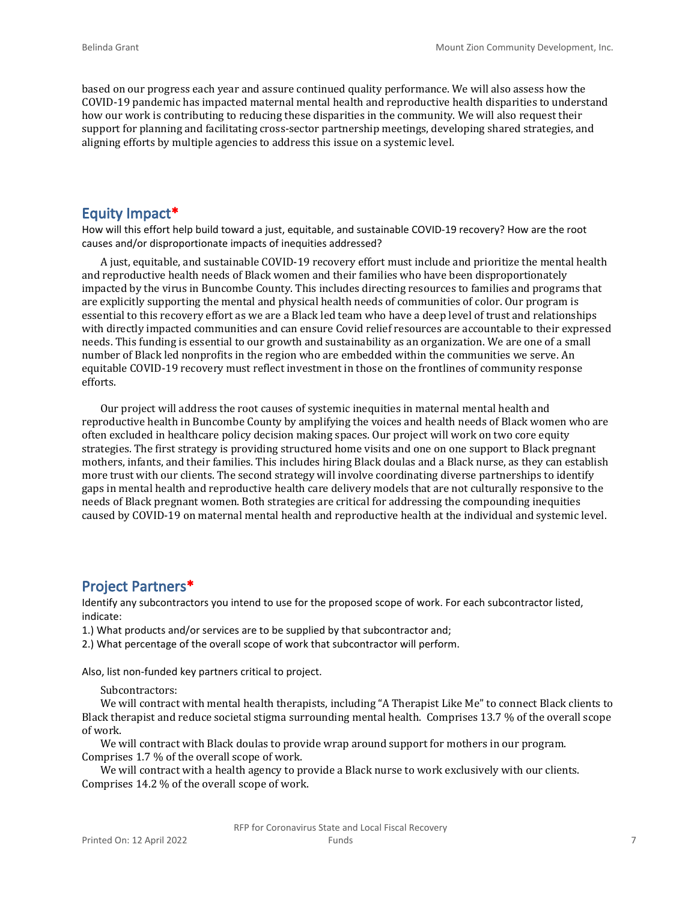based on our progress each year and assure continued quality performance. We will also assess how the COVID-19 pandemic has impacted maternal mental health and reproductive health disparities to understand how our work is contributing to reducing these disparities in the community. We will also request their support for planning and facilitating cross-sector partnership meetings, developing shared strategies, and aligning efforts by multiple agencies to address this issue on a systemic level.

#### **Equity Impact\***

How will this effort help build toward a just, equitable, and sustainable COVID-19 recovery? How are the root causes and/or disproportionate impacts of inequities addressed?

A just, equitable, and sustainable COVID-19 recovery effort must include and prioritize the mental health and reproductive health needs of Black women and their families who have been disproportionately impacted by the virus in Buncombe County. This includes directing resources to families and programs that are explicitly supporting the mental and physical health needs of communities of color. Our program is essential to this recovery effort as we are a Black led team who have a deep level of trust and relationships with directly impacted communities and can ensure Covid relief resources are accountable to their expressed needs. This funding is essential to our growth and sustainability as an organization. We are one of a small number of Black led nonprofits in the region who are embedded within the communities we serve. An equitable COVID-19 recovery must reflect investment in those on the frontlines of community response efforts.

Our project will address the root causes of systemic inequities in maternal mental health and reproductive health in Buncombe County by amplifying the voices and health needs of Black women who are often excluded in healthcare policy decision making spaces. Our project will work on two core equity strategies. The first strategy is providing structured home visits and one on one support to Black pregnant mothers, infants, and their families. This includes hiring Black doulas and a Black nurse, as they can establish more trust with our clients. The second strategy will involve coordinating diverse partnerships to identify gaps in mental health and reproductive health care delivery models that are not culturally responsive to the needs of Black pregnant women. Both strategies are critical for addressing the compounding inequities caused by COVID-19 on maternal mental health and reproductive health at the individual and systemic level.

#### **Project Partners\***

Identify any subcontractors you intend to use for the proposed scope of work. For each subcontractor listed, indicate:

1.) What products and/or services are to be supplied by that subcontractor and;

2.) What percentage of the overall scope of work that subcontractor will perform.

Also, list non-funded key partners critical to project.

Subcontractors:

We will contract with mental health therapists, including "A Therapist Like Me" to connect Black clients to Black therapist and reduce societal stigma surrounding mental health. Comprises 13.7 % of the overall scope of work.

We will contract with Black doulas to provide wrap around support for mothers in our program. Comprises 1.7 % of the overall scope of work.

We will contract with a health agency to provide a Black nurse to work exclusively with our clients. Comprises 14.2 % of the overall scope of work.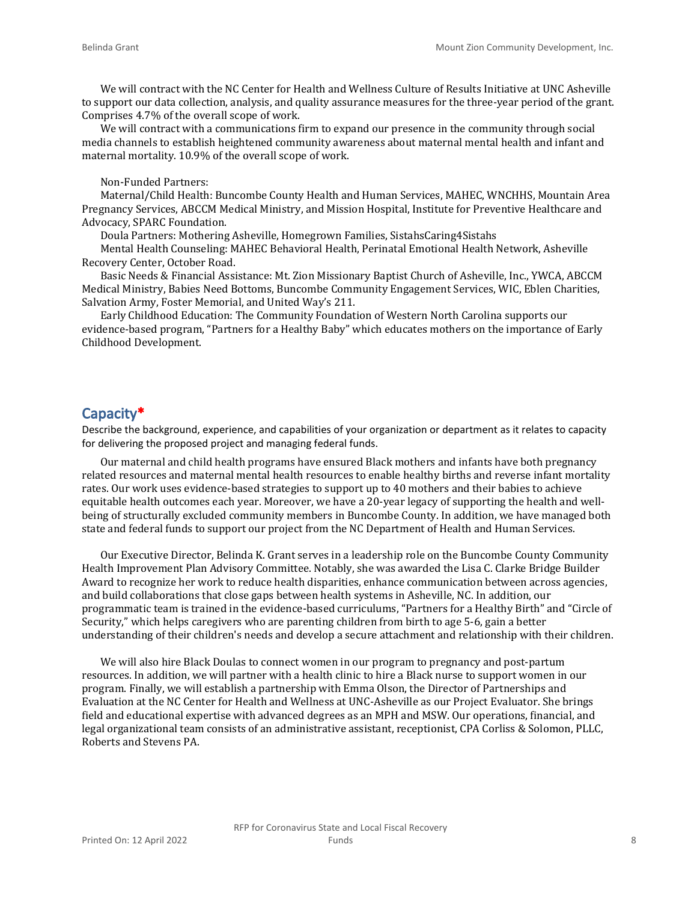We will contract with the NC Center for Health and Wellness Culture of Results Initiative at UNC Asheville to support our data collection, analysis, and quality assurance measures for the three-year period of the grant. Comprises 4.7% of the overall scope of work.

We will contract with a communications firm to expand our presence in the community through social media channels to establish heightened community awareness about maternal mental health and infant and maternal mortality. 10.9% of the overall scope of work.

#### Non-Funded Partners:

Maternal/Child Health: Buncombe County Health and Human Services, MAHEC, WNCHHS, Mountain Area Pregnancy Services, ABCCM Medical Ministry, and Mission Hospital, Institute for Preventive Healthcare and Advocacy, SPARC Foundation.

Doula Partners: Mothering Asheville, Homegrown Families, SistahsCaring4Sistahs

Mental Health Counseling: MAHEC Behavioral Health, Perinatal Emotional Health Network, Asheville Recovery Center, October Road.

Basic Needs & Financial Assistance: Mt. Zion Missionary Baptist Church of Asheville, Inc., YWCA, ABCCM Medical Ministry, Babies Need Bottoms, Buncombe Community Engagement Services, WIC, Eblen Charities, Salvation Army, Foster Memorial, and United Way's 211.

Early Childhood Education: The Community Foundation of Western North Carolina supports our evidence-based program, "Partners for a Healthy Baby" which educates mothers on the importance of Early Childhood Development.

#### **Capacity\***

Describe the background, experience, and capabilities of your organization or department as it relates to capacity for delivering the proposed project and managing federal funds.

Our maternal and child health programs have ensured Black mothers and infants have both pregnancy related resources and maternal mental health resources to enable healthy births and reverse infant mortality rates. Our work uses evidence-based strategies to support up to 40 mothers and their babies to achieve equitable health outcomes each year. Moreover, we have a 20-year legacy of supporting the health and wellbeing of structurally excluded community members in Buncombe County. In addition, we have managed both state and federal funds to support our project from the NC Department of Health and Human Services.

Our Executive Director, Belinda K. Grant serves in a leadership role on the Buncombe County Community Health Improvement Plan Advisory Committee. Notably, she was awarded the Lisa C. Clarke Bridge Builder Award to recognize her work to reduce health disparities, enhance communication between across agencies, and build collaborations that close gaps between health systems in Asheville, NC. In addition, our programmatic team is trained in the evidence-based curriculums, "Partners for a Healthy Birth" and "Circle of Security," which helps caregivers who are parenting children from birth to age 5-6, gain a better understanding of their children's needs and develop a secure attachment and relationship with their children.

We will also hire Black Doulas to connect women in our program to pregnancy and post-partum resources. In addition, we will partner with a health clinic to hire a Black nurse to support women in our program. Finally, we will establish a partnership with Emma Olson, the Director of Partnerships and Evaluation at the NC Center for Health and Wellness at UNC-Asheville as our Project Evaluator. She brings field and educational expertise with advanced degrees as an MPH and MSW. Our operations, financial, and legal organizational team consists of an administrative assistant, receptionist, CPA Corliss & Solomon, PLLC, Roberts and Stevens PA.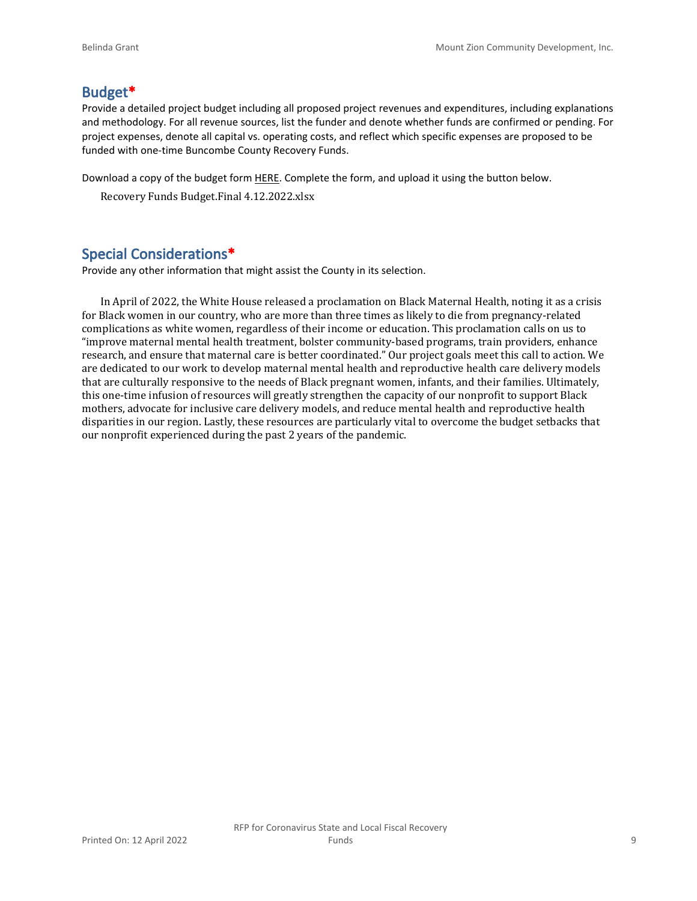#### **Budget\***

Provide a detailed project budget including all proposed project revenues and expenditures, including explanations and methodology. For all revenue sources, list the funder and denote whether funds are confirmed or pending. For project expenses, denote all capital vs. operating costs, and reflect which specific expenses are proposed to be funded with one-time Buncombe County Recovery Funds.

Download a copy of the budget form [HERE](https://buncombecounty.org/common/community-investment/grants/early-childhood-education/Recovery-Funds-budget-template.xlsx). Complete the form, and upload it using the button below.

Recovery Funds Budget.Final 4.12.2022.xlsx

## **Special Considerations\***

Provide any other information that might assist the County in its selection.

In April of 2022, the White House released a proclamation on Black Maternal Health, noting it as a crisis for Black women in our country, who are more than three times as likely to die from pregnancy-related complications as white women, regardless of their income or education. This proclamation calls on us to "improve maternal mental health treatment, bolster community-based programs, train providers, enhance research, and ensure that maternal care is better coordinated." Our project goals meet this call to action. We are dedicated to our work to develop maternal mental health and reproductive health care delivery models that are culturally responsive to the needs of Black pregnant women, infants, and their families. Ultimately, this one-time infusion of resources will greatly strengthen the capacity of our nonprofit to support Black mothers, advocate for inclusive care delivery models, and reduce mental health and reproductive health disparities in our region. Lastly, these resources are particularly vital to overcome the budget setbacks that our nonprofit experienced during the past 2 years of the pandemic.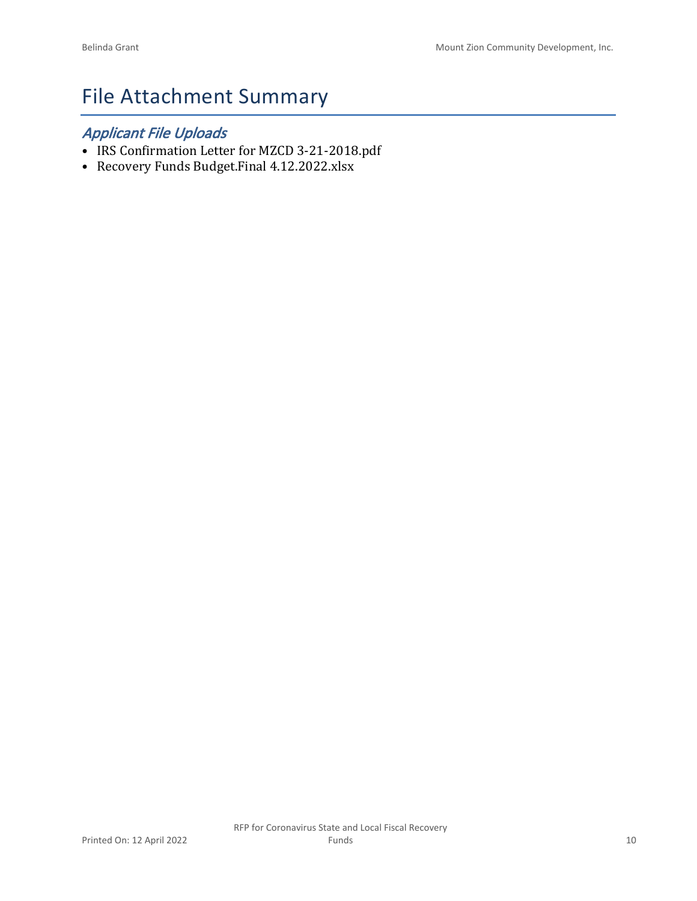# File Attachment Summary

## *Applicant File Uploads*

- IRS Confirmation Letter for MZCD 3-21-2018.pdf
- Recovery Funds Budget.Final 4.12.2022.xlsx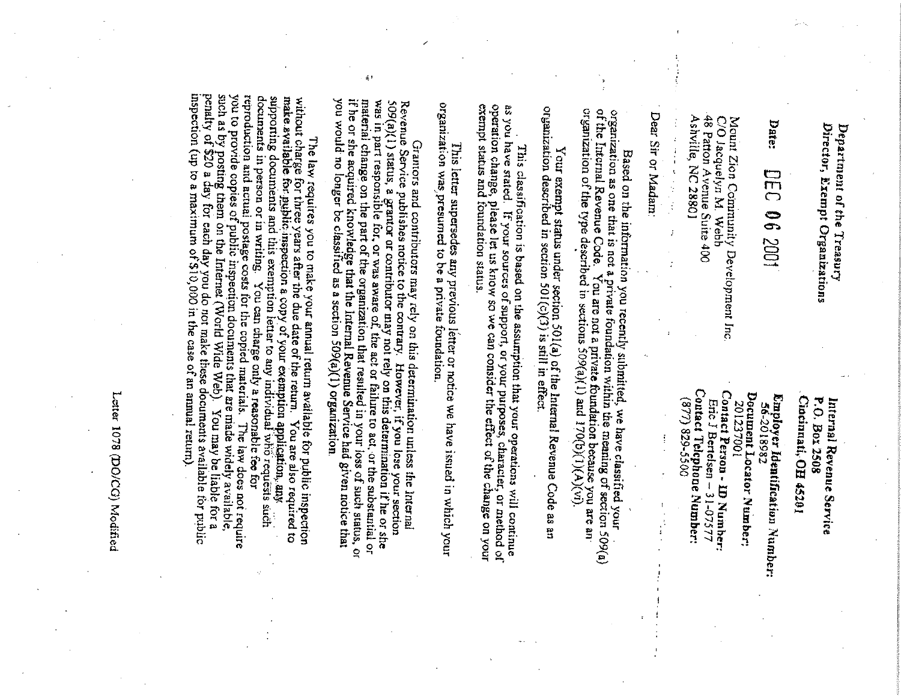Director, Exempt Organizations Department of the Treasury

**Date:** DEC 06 200

48 Patton Avenue Suite 400 Ashville, NC 28801 C/O Jacquelyn M. Webb Mount Zion Community Development Inc

Contact Telephone Number:

(877) 829-5500

Contact Person - ID Number:

Eric J Bertelsen - 31-07577

Document Locator Number;<br>201237001

Employer Identification Number:

56-2018982

Cincinnati, OH 45291

P.O. Box 2508

Internal Revenue Service

Dear Sir or Madam:

organization as one that is not a private foundation within the meaning of section 509(a) of the Internal Revenue Code. You are not a private foundation because you are an organization of the type described in sections 50 Based on the information you recently submitted, we have classified your

organization described in section 501(c)(3) is still in effect Your exempt status under section 501(a) of the Internal Revenue Code as an

exempt status and foundation status as you have stated. If your sources of support, or your purposes, character, or method of operation change, please let us know so we can consider the effect of the change on your This classification is based on the assumption that your operations will continue

organization was presumed to be a private foundation. This letter supersedes any previous letter or notice we have issued in which your

you would no longer be classified as a section 509(a)(1) organization. if he or she acquired knowledge that the internal Revenue Service had given notice that material change on the part of the organization that resulted in your loss of such status, or was in part responsible for, or was aware of, the act or failure to act, or the substantial or Revenue Service publishes notice to the contrary. However, if you lose your section  $SOS(\alpha)(1)$  status, a grantor or contributor may not rely on this determination if he or she Grantors and contributors may rely on this determination unless the linternal

such as by posting them on the Internet (World Wide Web). You may be liable for a penalty of \$20 a day for each day you do not make these documents available for a inspection (up to a maximum of  $\hat{s}$ 10,000 in the case of an annual return). you to provide copies of public inspection documents that are made widely available, reproduction and actual postage costs for the copied materials. suporting documents and this exemption letter to any individual who requests such documents in person or in writing. You can charge only a reasonable fee for The law requires you to make you tamual return available for public inspection without charge for three years after the due date of the return. You are also required to make available for three years after the due date of The law does not require

Letter 1078 (DO/CG) Modified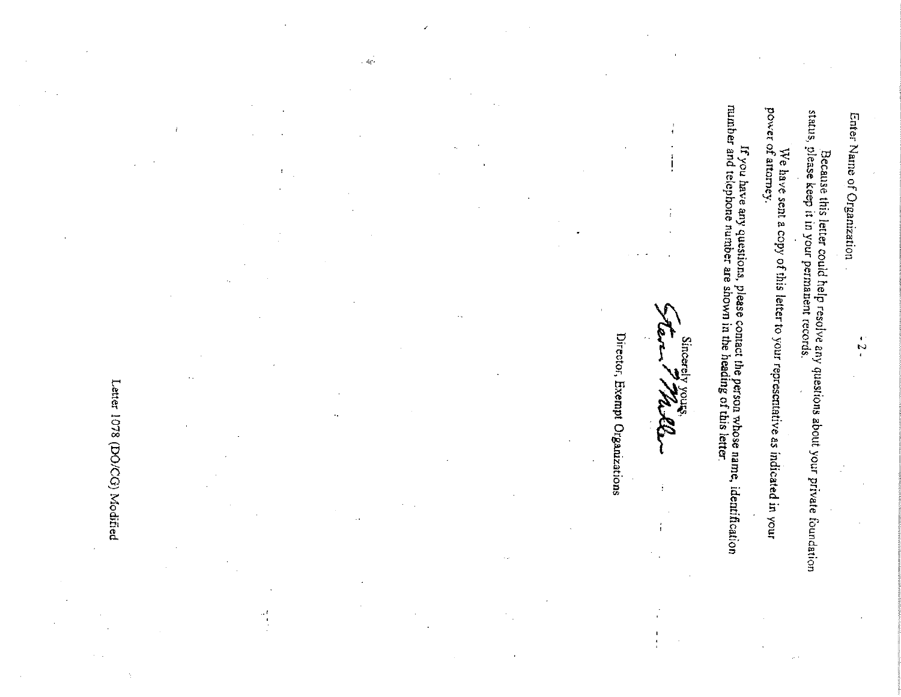Enter Name of Organization

 $\frac{1}{2}$ 

Because this letter could help resolve any questions about your private foundation status, please keep it in your permanent records.

We have sent a copy of this letter to your representative as indicated in your power of attorney.

If you have any questions, please contact the person whose name, identification number and telephone number are shown in the heading of this letter.

Sincerely yours, i<br>S

 $\frac{1}{2}$ 

Director, Exempt Organizations

 $\mathcal{L}_\mathrm{c}$ 

Letter 1078 (DO/CG) Modified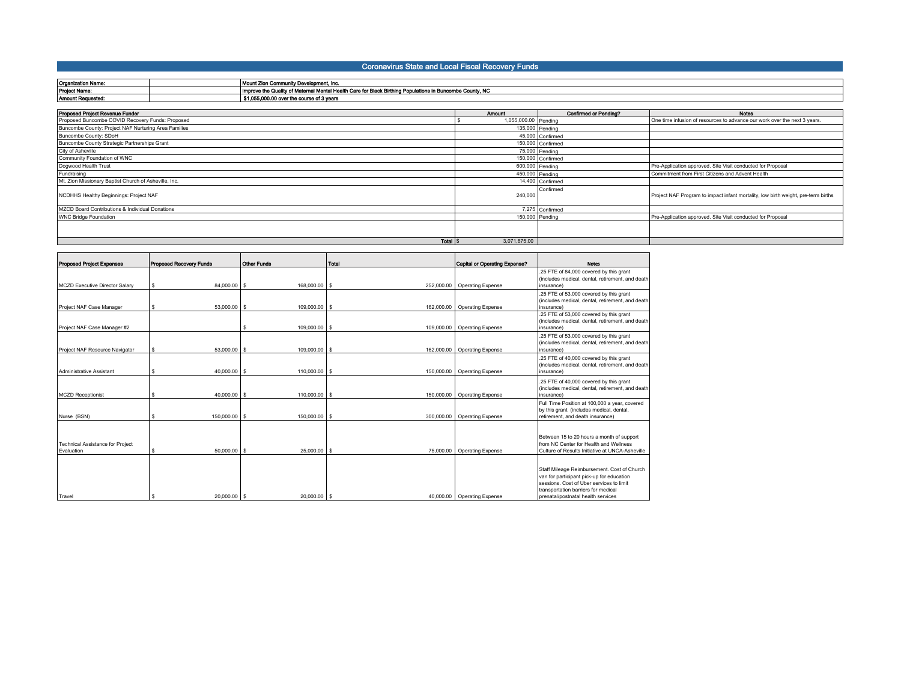#### **Coronavirus State and Local Fiscal Recovery Funds Proposed Project Budget**

| <b>Organization Name:</b>                             |  | Mount Zion Community Development, Inc.                                                                   |                      |                              |                                                                                   |
|-------------------------------------------------------|--|----------------------------------------------------------------------------------------------------------|----------------------|------------------------------|-----------------------------------------------------------------------------------|
| <b>Project Name:</b>                                  |  | Improve the Quality of Maternal Mental Health Care for Black Birthing Populations in Buncombe County, NC |                      |                              |                                                                                   |
| Amount Requested:                                     |  | \$1,055,000.00 over the course of 3 years                                                                |                      |                              |                                                                                   |
|                                                       |  |                                                                                                          |                      |                              |                                                                                   |
| Proposed Project Revenue Funder                       |  |                                                                                                          | <b>Amount</b>        | <b>Confirmed or Pending?</b> | <b>Notes</b>                                                                      |
| Proposed Buncombe COVID Recovery Funds: Proposed      |  |                                                                                                          | 1,055,000.00 Pending |                              | One time infusion of resources to advance our work over the next 3 years.         |
| Buncombe County: Project NAF Nurturing Area Families  |  |                                                                                                          |                      | 135,000 Pending              |                                                                                   |
| Buncombe County: SDoH                                 |  |                                                                                                          |                      | 45,000 Confirmed             |                                                                                   |
| Buncombe County Strategic Partnerships Grant          |  |                                                                                                          |                      | 150,000 Confirmed            |                                                                                   |
| City of Asheville                                     |  |                                                                                                          |                      | 75,000 Pending               |                                                                                   |
| Community Foundation of WNC                           |  |                                                                                                          |                      | 150,000 Confirmed            |                                                                                   |
| Dogwood Health Trust                                  |  |                                                                                                          |                      | 600,000 Pending              | Pre-Application approved. Site Visit conducted for Proposal                       |
| Fundraising                                           |  |                                                                                                          |                      | 450,000 Pending              | Commitment from First Citizens and Advent Health                                  |
| Mt. Zion Missionary Baptist Church of Asheville, Inc. |  |                                                                                                          |                      | 14,400 Confirmed             |                                                                                   |
| NCDHHS Healthy Beginnings: Project NAF                |  |                                                                                                          | 240,000              | Confirmed                    | Project NAF Program to impact infant mortality, low birth weight, pre-term births |
| MZCD Board Contributions & Individual Donations       |  |                                                                                                          |                      | 7,275 Confirmed              |                                                                                   |
| <b>WNC Bridge Foundation</b>                          |  |                                                                                                          |                      | 150,000 Pending              | Pre-Application approved. Site Visit conducted for Proposal                       |
|                                                       |  |                                                                                                          |                      |                              |                                                                                   |
|                                                       |  | Total s                                                                                                  | 3,071,675.00         |                              |                                                                                   |

| <b>Proposed Project Expenses</b>                      |          | <b>Proposed Recovery Funds</b> | Other Funds |                   | Total |            | Capital or Operating Expense?  | <b>Notes</b>                                                                                                                                                                                                      |
|-------------------------------------------------------|----------|--------------------------------|-------------|-------------------|-------|------------|--------------------------------|-------------------------------------------------------------------------------------------------------------------------------------------------------------------------------------------------------------------|
| MCZD Executive Director Salary                        | s        | $84,000.00$ $\sqrt{\ }$        |             | 168,000.00 \$     |       |            | 252,000.00   Operating Expense | .25 FTE of 84,000 covered by this grant<br>(includes medical, dental, retirement, and death<br>insurance)                                                                                                         |
| Project NAF Case Manager                              | s        | $53.000.00$ S                  |             | $109.000.00$ \ \$ |       |            | 162.000.00   Operating Expense | .25 FTE of 53,000 covered by this grant<br>(includes medical, dental, retirement, and death<br>insurance)                                                                                                         |
| Project NAF Case Manager #2                           |          |                                | S           | $109,000.00$ \\$  |       |            | 109,000.00   Operating Expense | .25 FTE of 53,000 covered by this grant<br>(includes medical, dental, retirement, and death<br>insurance)                                                                                                         |
| Project NAF Resource Navigator                        | s        | $53,000.00$ $\sqrt{\$}$        |             | $109,000.00$ \$   |       | 162,000.00 | <b>Operating Expense</b>       | .25 FTE of 53,000 covered by this grant<br>(includes medical, dental, retirement, and death<br>insurance)                                                                                                         |
| Administrative Assistant                              | s        | $40.000.00$ S                  |             | $110.000.00$   \$ |       |            | 150,000.00   Operating Expense | .25 FTE of 40,000 covered by this grant<br>(includes medical, dental, retirement, and death<br>insurance)                                                                                                         |
| <b>MCZD Receptionist</b>                              | s        | $40,000.00$ $\sqrt{\$}$        |             | $110.000.00$   \$ |       | 150,000.00 | <b>Operating Expense</b>       | .25 FTE of 40,000 covered by this grant<br>(includes medical, dental, retirement, and death<br>insurance)                                                                                                         |
| Nurse (BSN)                                           | S        | $150.000.00$ S                 |             | $150.000.00$ \ \$ |       | 300,000.00 | Operating Expense              | Full Time Position at 100,000 a year, covered<br>by this grant (includes medical, dental,<br>retirement, and death insurance)                                                                                     |
| <b>Technical Assistance for Project</b><br>Evaluation | <b>s</b> | $50,000.00$ $\sqrt{\ }$        |             | $25,000.00$ \$    |       | 75,000.00  | <b>Operating Expense</b>       | Between 15 to 20 hours a month of support<br>from NC Center for Health and Wellness<br>Culture of Results Initiative at UNCA-Asheville                                                                            |
| Travel                                                |          | $20.000.00$ S                  |             | $20,000.00$ \$    |       |            | 40,000.00   Operating Expense  | Staff Mileage Reimbursement. Cost of Church<br>van for participant pick-up for education<br>sessions. Cost of Uber services to limit<br>transportation barriers for medical<br>prenatal/postnatal health services |

┱